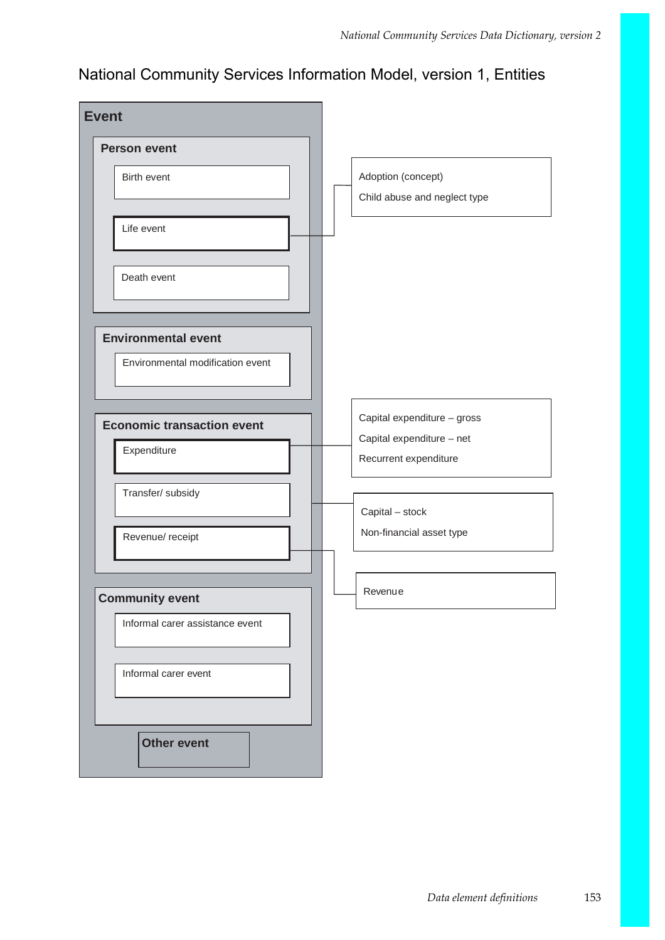## National Community Services Information Model, version 1, Entities

| <b>Event</b>                      |                                                    |
|-----------------------------------|----------------------------------------------------|
| <b>Person event</b>               |                                                    |
| Birth event                       | Adoption (concept)<br>Child abuse and neglect type |
| Life event                        |                                                    |
| Death event                       |                                                    |
| <b>Environmental event</b>        |                                                    |
| Environmental modification event  |                                                    |
| <b>Economic transaction event</b> | Capital expenditure - gross                        |
| Expenditure                       | Capital expenditure - net<br>Recurrent expenditure |
| Transfer/ subsidy                 | Capital - stock                                    |
| Revenue/ receipt                  | Non-financial asset type                           |
|                                   | Revenue                                            |
| <b>Community event</b>            |                                                    |
| Informal carer assistance event   |                                                    |
| Informal carer event              |                                                    |
| <b>Other event</b>                |                                                    |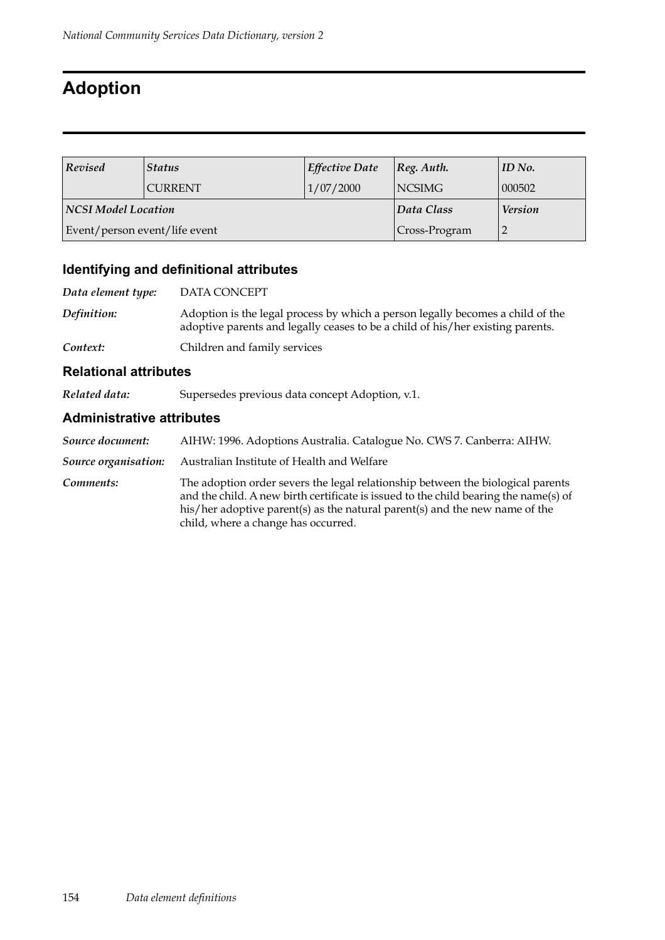# **Adoption**

| Revised                       | <b>Status</b>               | Effective Date | $ Reg.$ Auth.  | ID No. |
|-------------------------------|-----------------------------|----------------|----------------|--------|
|                               | 1/07/2000<br><b>CURRENT</b> |                | <b>NCSIMG</b>  | 000502 |
| NCSI Model Location           |                             | Data Class     | <b>Version</b> |        |
| Event/person event/life event |                             |                | Cross-Program  |        |

### **Identifying and definitional attributes**

| Data element type: | DATA CONCEPT                                                                                                                                                     |
|--------------------|------------------------------------------------------------------------------------------------------------------------------------------------------------------|
| Definition:        | Adoption is the legal process by which a person legally becomes a child of the<br>adoptive parents and legally ceases to be a child of his/her existing parents. |
| Context:           | Children and family services                                                                                                                                     |

#### **Relational attributes**

*Related data:* Supersedes previous data concept Adoption, v.1.

#### **Administrative attributes**

| Source document:     | AIHW: 1996. Adoptions Australia. Catalogue No. CWS 7. Canberra: AIHW.                                                                                                                                                                                                                         |
|----------------------|-----------------------------------------------------------------------------------------------------------------------------------------------------------------------------------------------------------------------------------------------------------------------------------------------|
| Source organisation: | Australian Institute of Health and Welfare                                                                                                                                                                                                                                                    |
| Comments:            | The adoption order severs the legal relationship between the biological parents<br>and the child. A new birth certificate is issued to the child bearing the name(s) of<br>his/her adoptive parent(s) as the natural parent(s) and the new name of the<br>child, where a change has occurred. |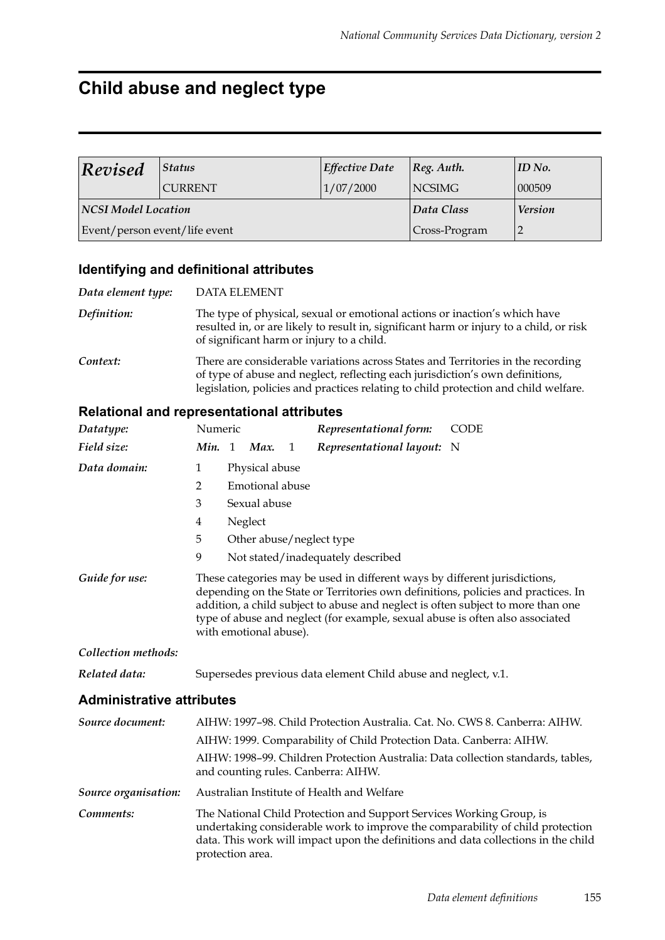# **Child abuse and neglect type**

| Revised                       | <b>Status</b> | Effective Date | Reg. Author.   | ID No. |
|-------------------------------|---------------|----------------|----------------|--------|
| <b>CURRENT</b>                |               | 1/07/2000      | <b>NCSIMG</b>  | 000509 |
| <b>NCSI Model Location</b>    |               | Data Class     | <b>Version</b> |        |
| Event/person event/life event |               |                | Cross-Program  |        |

### **Identifying and definitional attributes**

| Data element type: | DATA ELEMENT                                                                                                                                                                                                                                             |
|--------------------|----------------------------------------------------------------------------------------------------------------------------------------------------------------------------------------------------------------------------------------------------------|
| Definition:        | The type of physical, sexual or emotional actions or inaction's which have<br>resulted in, or are likely to result in, significant harm or injury to a child, or risk<br>of significant harm or injury to a child.                                       |
| Context:           | There are considerable variations across States and Territories in the recording<br>of type of abuse and neglect, reflecting each jurisdiction's own definitions,<br>legislation, policies and practices relating to child protection and child welfare. |

### **Relational and representational attributes**

| Datatype:                        | Numeric          |         |                        |   | Representational form:                                                                                                                                                                                                                          | <b>CODE</b>                                                                                                                                                          |
|----------------------------------|------------------|---------|------------------------|---|-------------------------------------------------------------------------------------------------------------------------------------------------------------------------------------------------------------------------------------------------|----------------------------------------------------------------------------------------------------------------------------------------------------------------------|
| Field size:                      | Min. 1           |         | Max.                   | 1 | Representational layout: N                                                                                                                                                                                                                      |                                                                                                                                                                      |
| Data domain:                     | $\mathbf{1}$     |         | Physical abuse         |   |                                                                                                                                                                                                                                                 |                                                                                                                                                                      |
|                                  | $\overline{2}$   |         | Emotional abuse        |   |                                                                                                                                                                                                                                                 |                                                                                                                                                                      |
|                                  | 3                |         | Sexual abuse           |   |                                                                                                                                                                                                                                                 |                                                                                                                                                                      |
|                                  | 4                | Neglect |                        |   |                                                                                                                                                                                                                                                 |                                                                                                                                                                      |
|                                  | 5                |         |                        |   | Other abuse/neglect type                                                                                                                                                                                                                        |                                                                                                                                                                      |
|                                  | 9                |         |                        |   | Not stated/inadequately described                                                                                                                                                                                                               |                                                                                                                                                                      |
| Guide for use:                   |                  |         | with emotional abuse). |   | These categories may be used in different ways by different jurisdictions,<br>addition, a child subject to abuse and neglect is often subject to more than one<br>type of abuse and neglect (for example, sexual abuse is often also associated | depending on the State or Territories own definitions, policies and practices. In                                                                                    |
| Collection methods:              |                  |         |                        |   |                                                                                                                                                                                                                                                 |                                                                                                                                                                      |
| Related data:                    |                  |         |                        |   | Supersedes previous data element Child abuse and neglect, v.1.                                                                                                                                                                                  |                                                                                                                                                                      |
| <b>Administrative attributes</b> |                  |         |                        |   |                                                                                                                                                                                                                                                 |                                                                                                                                                                      |
| Source document:                 |                  |         |                        |   |                                                                                                                                                                                                                                                 | AIHW: 1997–98. Child Protection Australia. Cat. No. CWS 8. Canberra: AIHW.                                                                                           |
|                                  |                  |         |                        |   | AIHW: 1999. Comparability of Child Protection Data. Canberra: AIHW.                                                                                                                                                                             |                                                                                                                                                                      |
|                                  |                  |         |                        |   | and counting rules. Canberra: AIHW.                                                                                                                                                                                                             | AIHW: 1998-99. Children Protection Australia: Data collection standards, tables,                                                                                     |
| Source organisation:             |                  |         |                        |   | Australian Institute of Health and Welfare                                                                                                                                                                                                      |                                                                                                                                                                      |
| Comments:                        | protection area. |         |                        |   | The National Child Protection and Support Services Working Group, is                                                                                                                                                                            | undertaking considerable work to improve the comparability of child protection<br>data. This work will impact upon the definitions and data collections in the child |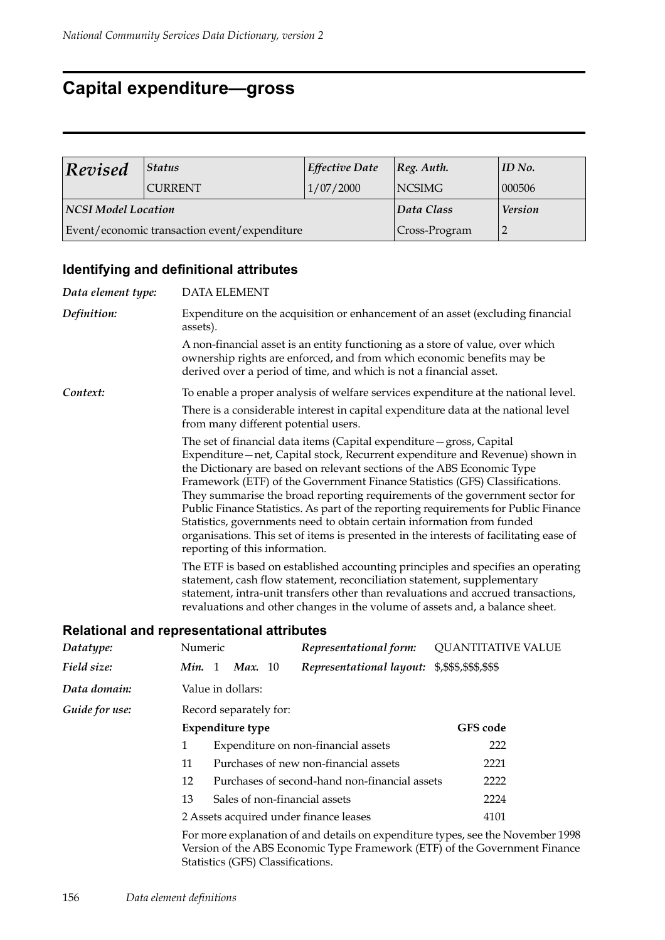## **Capital expenditure—gross**

| Revised                    | <b>Status</b>                                | Effective Date | $ Reg.$ Auth.  | ID No. |
|----------------------------|----------------------------------------------|----------------|----------------|--------|
| <b>CURRENT</b>             |                                              | 1/07/2000      | <b>NCSIMG</b>  | 000506 |
| <b>NCSI Model Location</b> |                                              | Data Class     | <b>Version</b> |        |
|                            | Event/economic transaction event/expenditure |                | Cross-Program  |        |

### **Identifying and definitional attributes**

| Data element type: | <b>DATA ELEMENT</b>                                                                                                                                                                                                                                                                                                                                                                                                                                                                                                                                                                                                                                                                        |
|--------------------|--------------------------------------------------------------------------------------------------------------------------------------------------------------------------------------------------------------------------------------------------------------------------------------------------------------------------------------------------------------------------------------------------------------------------------------------------------------------------------------------------------------------------------------------------------------------------------------------------------------------------------------------------------------------------------------------|
| Definition:        | Expenditure on the acquisition or enhancement of an asset (excluding financial<br>assets).                                                                                                                                                                                                                                                                                                                                                                                                                                                                                                                                                                                                 |
|                    | A non-financial asset is an entity functioning as a store of value, over which<br>ownership rights are enforced, and from which economic benefits may be<br>derived over a period of time, and which is not a financial asset.                                                                                                                                                                                                                                                                                                                                                                                                                                                             |
| Context:           | To enable a proper analysis of welfare services expenditure at the national level.                                                                                                                                                                                                                                                                                                                                                                                                                                                                                                                                                                                                         |
|                    | There is a considerable interest in capital expenditure data at the national level<br>from many different potential users.                                                                                                                                                                                                                                                                                                                                                                                                                                                                                                                                                                 |
|                    | The set of financial data items (Capital expenditure – gross, Capital<br>Expenditure-net, Capital stock, Recurrent expenditure and Revenue) shown in<br>the Dictionary are based on relevant sections of the ABS Economic Type<br>Framework (ETF) of the Government Finance Statistics (GFS) Classifications.<br>They summarise the broad reporting requirements of the government sector for<br>Public Finance Statistics. As part of the reporting requirements for Public Finance<br>Statistics, governments need to obtain certain information from funded<br>organisations. This set of items is presented in the interests of facilitating ease of<br>reporting of this information. |
|                    | The ETF is based on established accounting principles and specifies an operating<br>statement, cash flow statement, reconciliation statement, supplementary<br>statement, intra-unit transfers other than revaluations and accrued transactions,<br>revaluations and other changes in the volume of assets and, a balance sheet.                                                                                                                                                                                                                                                                                                                                                           |
|                    |                                                                                                                                                                                                                                                                                                                                                                                                                                                                                                                                                                                                                                                                                            |

#### **Relational and representational attributes**

| Datatype:                                                                                                                                                                                          | Numeric                                |                                               |                        |  | Representational form:        | <b>QUANTITATIVE VALUE</b> |
|----------------------------------------------------------------------------------------------------------------------------------------------------------------------------------------------------|----------------------------------------|-----------------------------------------------|------------------------|--|-------------------------------|---------------------------|
| Field size:                                                                                                                                                                                        | Min. 1                                 |                                               | <b>Max.</b> 10         |  | Representational layout:      | \$,\$\$\$,\$\$\$,\$\$\$   |
| Data domain:                                                                                                                                                                                       |                                        |                                               | Value in dollars:      |  |                               |                           |
| Guide for use:                                                                                                                                                                                     |                                        |                                               | Record separately for: |  |                               |                           |
|                                                                                                                                                                                                    |                                        |                                               | Expenditure type       |  |                               | <b>GFS</b> code           |
|                                                                                                                                                                                                    | 1                                      | Expenditure on non-financial assets           |                        |  |                               | 222                       |
|                                                                                                                                                                                                    | 11                                     | Purchases of new non-financial assets         |                        |  | 2221                          |                           |
|                                                                                                                                                                                                    | 12                                     | Purchases of second-hand non-financial assets |                        |  |                               | 2222                      |
|                                                                                                                                                                                                    | 13                                     |                                               |                        |  | Sales of non-financial assets | 2224                      |
|                                                                                                                                                                                                    | 2 Assets acquired under finance leases |                                               |                        |  |                               | 4101                      |
| For more explanation of and details on expenditure types, see the November 1998<br>Version of the ABS Economic Type Framework (ETF) of the Government Finance<br>Statistics (GFS) Classifications. |                                        |                                               |                        |  |                               |                           |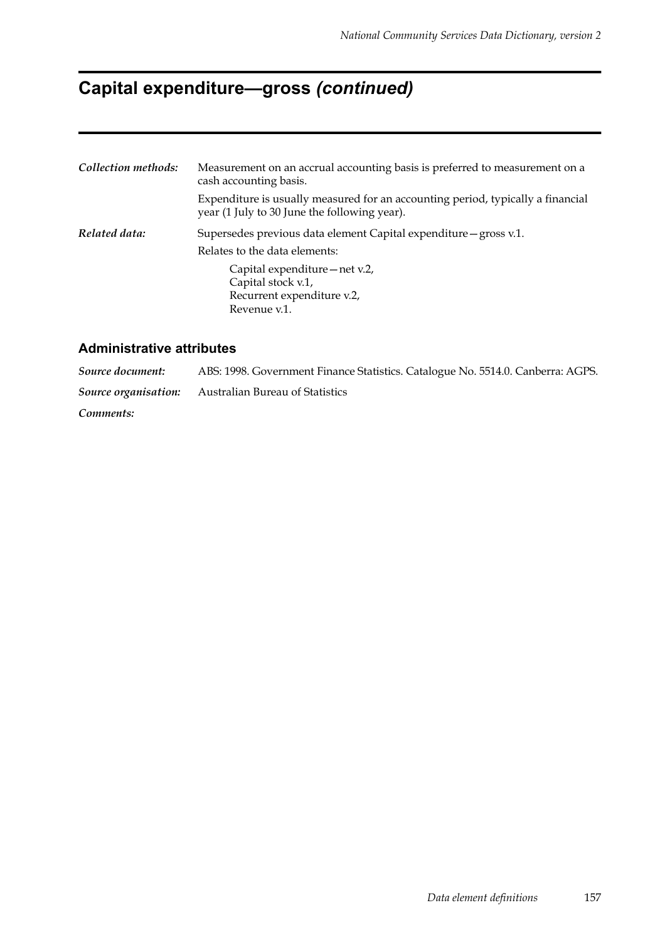# **Capital expenditure—gross** *(continued)*

| Collection methods: | Measurement on an accrual accounting basis is preferred to measurement on a<br>cash accounting basis.                           |  |  |  |  |
|---------------------|---------------------------------------------------------------------------------------------------------------------------------|--|--|--|--|
|                     | Expenditure is usually measured for an accounting period, typically a financial<br>year (1 July to 30 June the following year). |  |  |  |  |
| Related data:       | Supersedes previous data element Capital expenditure – gross v.1.                                                               |  |  |  |  |
|                     | Relates to the data elements:                                                                                                   |  |  |  |  |
|                     | Capital expenditure – net v.2,<br>Capital stock v.1,<br>Recurrent expenditure v.2,<br>Revenue v.1.                              |  |  |  |  |

#### **Administrative attributes**

*Source document:* ABS: 1998. Government Finance Statistics. Catalogue No. 5514.0. Canberra: AGPS. *Source organisation:* Australian Bureau of Statistics *Comments:*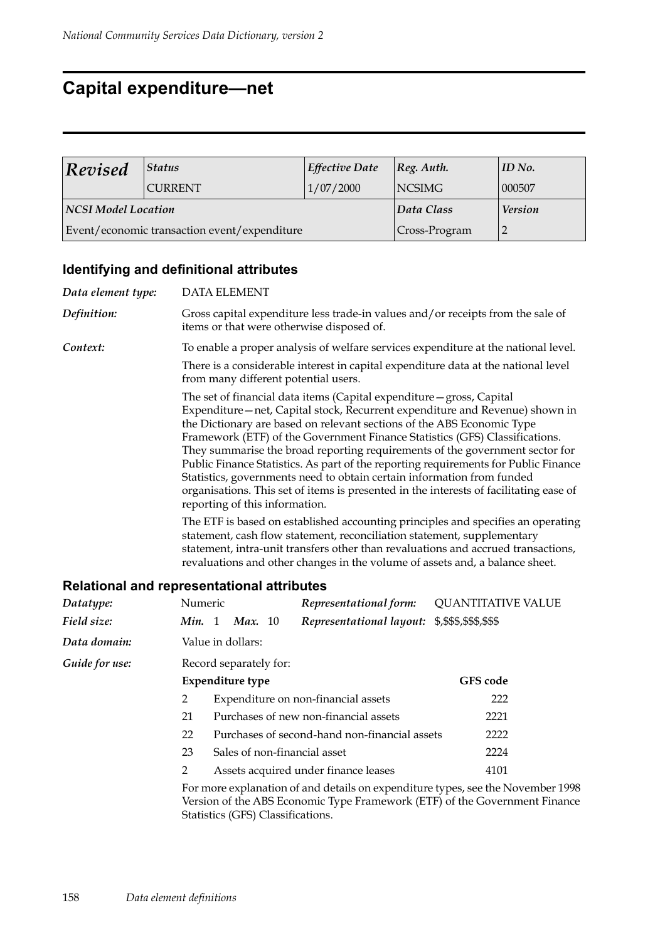## **Capital expenditure—net**

| Revised                    | <b>Status</b>                                | Effective Date | $ Reg.$ Auth.  | ID No. |
|----------------------------|----------------------------------------------|----------------|----------------|--------|
| <b>CURRENT</b>             |                                              | 1/07/2000      | <b>NCSIMG</b>  | 000507 |
| <b>NCSI Model Location</b> |                                              | Data Class     | <b>Version</b> |        |
|                            | Event/economic transaction event/expenditure |                | Cross-Program  |        |

### **Identifying and definitional attributes**

| Data element type:                                |                                                                                                                                                                                                                                                                                                                                                                                                                                                                                                                                                                                                                                                                                                                                                                                                                                                                                                                                                                                                                                |  | <b>DATA ELEMENT</b>     |  |                                                                                                                              |          |                           |
|---------------------------------------------------|--------------------------------------------------------------------------------------------------------------------------------------------------------------------------------------------------------------------------------------------------------------------------------------------------------------------------------------------------------------------------------------------------------------------------------------------------------------------------------------------------------------------------------------------------------------------------------------------------------------------------------------------------------------------------------------------------------------------------------------------------------------------------------------------------------------------------------------------------------------------------------------------------------------------------------------------------------------------------------------------------------------------------------|--|-------------------------|--|------------------------------------------------------------------------------------------------------------------------------|----------|---------------------------|
| Definition:                                       |                                                                                                                                                                                                                                                                                                                                                                                                                                                                                                                                                                                                                                                                                                                                                                                                                                                                                                                                                                                                                                |  |                         |  | Gross capital expenditure less trade-in values and/or receipts from the sale of<br>items or that were otherwise disposed of. |          |                           |
| Context:                                          |                                                                                                                                                                                                                                                                                                                                                                                                                                                                                                                                                                                                                                                                                                                                                                                                                                                                                                                                                                                                                                |  |                         |  | To enable a proper analysis of welfare services expenditure at the national level.                                           |          |                           |
|                                                   |                                                                                                                                                                                                                                                                                                                                                                                                                                                                                                                                                                                                                                                                                                                                                                                                                                                                                                                                                                                                                                |  |                         |  | There is a considerable interest in capital expenditure data at the national level<br>from many different potential users.   |          |                           |
|                                                   | The set of financial data items (Capital expenditure - gross, Capital<br>Expenditure-net, Capital stock, Recurrent expenditure and Revenue) shown in<br>the Dictionary are based on relevant sections of the ABS Economic Type<br>Framework (ETF) of the Government Finance Statistics (GFS) Classifications.<br>They summarise the broad reporting requirements of the government sector for<br>Public Finance Statistics. As part of the reporting requirements for Public Finance<br>Statistics, governments need to obtain certain information from funded<br>organisations. This set of items is presented in the interests of facilitating ease of<br>reporting of this information.<br>The ETF is based on established accounting principles and specifies an operating<br>statement, cash flow statement, reconciliation statement, supplementary<br>statement, intra-unit transfers other than revaluations and accrued transactions,<br>revaluations and other changes in the volume of assets and, a balance sheet. |  |                         |  |                                                                                                                              |          |                           |
| <b>Relational and representational attributes</b> |                                                                                                                                                                                                                                                                                                                                                                                                                                                                                                                                                                                                                                                                                                                                                                                                                                                                                                                                                                                                                                |  |                         |  |                                                                                                                              |          |                           |
| Datatype:                                         | Numeric                                                                                                                                                                                                                                                                                                                                                                                                                                                                                                                                                                                                                                                                                                                                                                                                                                                                                                                                                                                                                        |  |                         |  | Representational form:                                                                                                       |          | <b>QUANTITATIVE VALUE</b> |
| Field size:                                       |                                                                                                                                                                                                                                                                                                                                                                                                                                                                                                                                                                                                                                                                                                                                                                                                                                                                                                                                                                                                                                |  | Min. 1 Max. 10          |  | Representational layout: \$,\$\$\$,\$\$\$,\$\$\$                                                                             |          |                           |
| Data domain:                                      |                                                                                                                                                                                                                                                                                                                                                                                                                                                                                                                                                                                                                                                                                                                                                                                                                                                                                                                                                                                                                                |  | Value in dollars:       |  |                                                                                                                              |          |                           |
| Guide for use:                                    | Record separately for:                                                                                                                                                                                                                                                                                                                                                                                                                                                                                                                                                                                                                                                                                                                                                                                                                                                                                                                                                                                                         |  |                         |  |                                                                                                                              |          |                           |
|                                                   |                                                                                                                                                                                                                                                                                                                                                                                                                                                                                                                                                                                                                                                                                                                                                                                                                                                                                                                                                                                                                                |  | <b>Expenditure type</b> |  |                                                                                                                              | GFS code |                           |
|                                                   | 2                                                                                                                                                                                                                                                                                                                                                                                                                                                                                                                                                                                                                                                                                                                                                                                                                                                                                                                                                                                                                              |  |                         |  | Expenditure on non-financial assets                                                                                          |          | 222                       |
|                                                   | 21                                                                                                                                                                                                                                                                                                                                                                                                                                                                                                                                                                                                                                                                                                                                                                                                                                                                                                                                                                                                                             |  |                         |  | Purchases of new non-financial assets                                                                                        |          | 2221                      |
|                                                   | Purchases of second-hand non-financial assets<br>22<br>2222                                                                                                                                                                                                                                                                                                                                                                                                                                                                                                                                                                                                                                                                                                                                                                                                                                                                                                                                                                    |  |                         |  |                                                                                                                              |          |                           |
|                                                   | 23                                                                                                                                                                                                                                                                                                                                                                                                                                                                                                                                                                                                                                                                                                                                                                                                                                                                                                                                                                                                                             |  |                         |  | Sales of non-financial asset                                                                                                 |          | 2224                      |
|                                                   | $\overline{2}$                                                                                                                                                                                                                                                                                                                                                                                                                                                                                                                                                                                                                                                                                                                                                                                                                                                                                                                                                                                                                 |  |                         |  | Assets acquired under finance leases                                                                                         |          | 4101                      |
|                                                   | For more explanation of and details on expenditure types, see the November 1998                                                                                                                                                                                                                                                                                                                                                                                                                                                                                                                                                                                                                                                                                                                                                                                                                                                                                                                                                |  |                         |  |                                                                                                                              |          |                           |

For more explanation of and details on expenditure types, see the November 1998 Version of the ABS Economic Type Framework (ETF) of the Government Finance Statistics (GFS) Classifications.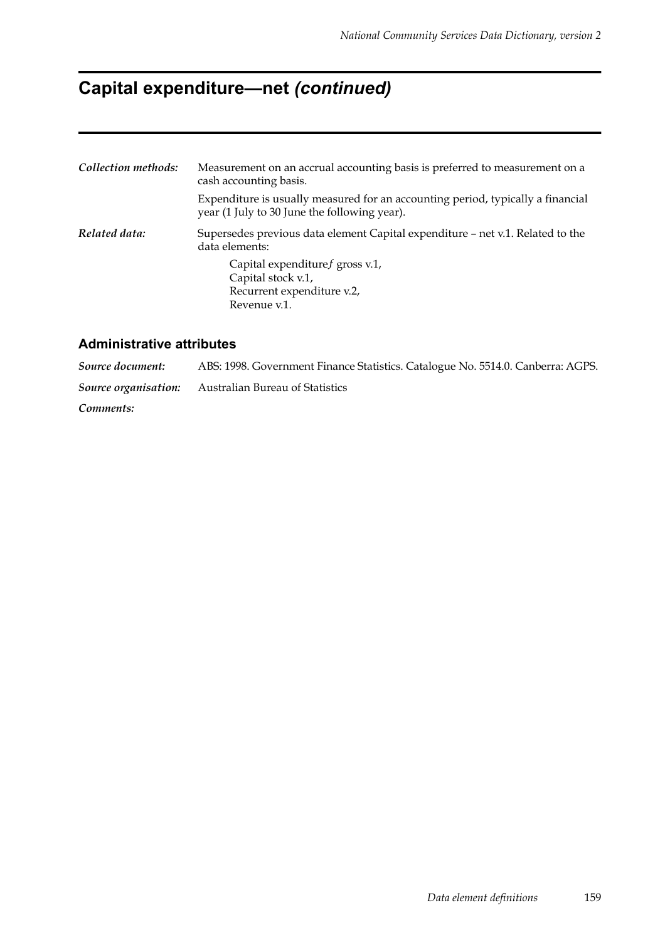# **Capital expenditure—net** *(continued)*

| Collection methods: | Measurement on an accrual accounting basis is preferred to measurement on a<br>cash accounting basis.                           |
|---------------------|---------------------------------------------------------------------------------------------------------------------------------|
|                     | Expenditure is usually measured for an accounting period, typically a financial<br>year (1 July to 30 June the following year). |
| Related data:       | Supersedes previous data element Capital expenditure – net v.1. Related to the<br>data elements:                                |
|                     | Capital expendituref gross v.1,<br>Capital stock v.1,<br>Recurrent expenditure v.2,<br>Revenue v.1.                             |

### **Administrative attributes**

| Source document: | ABS: 1998. Government Finance Statistics. Catalogue No. 5514.0. Canberra: AGPS. |
|------------------|---------------------------------------------------------------------------------|
|                  | <b>Source organisation:</b> Australian Bureau of Statistics                     |
| Comments:        |                                                                                 |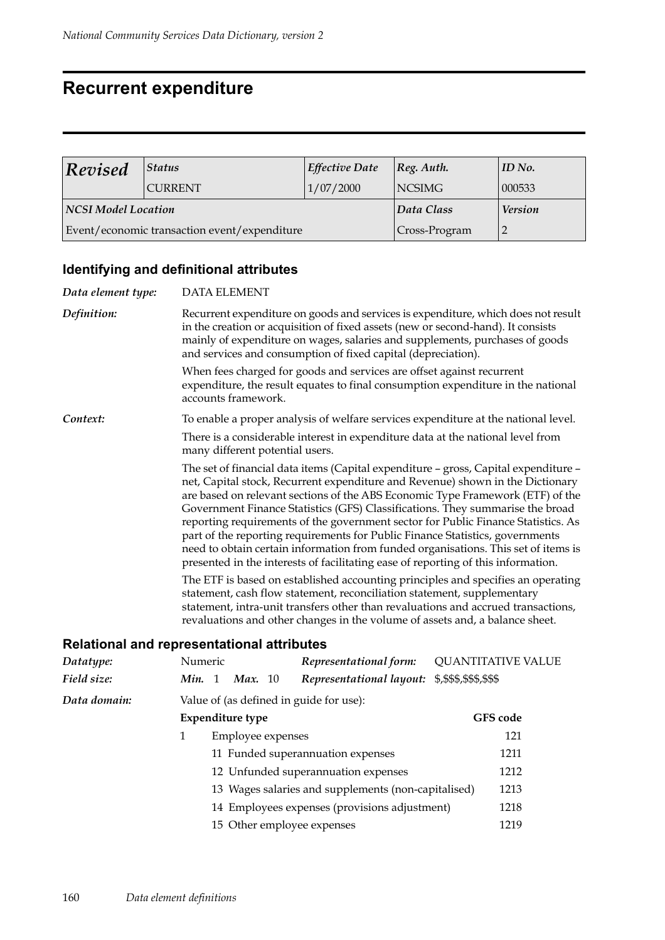### **Recurrent expenditure**

| Revised             | Status                                       | Effective Date | [Reg. Author.  | ID No. |
|---------------------|----------------------------------------------|----------------|----------------|--------|
|                     | <b>CURRENT</b>                               | 1/07/2000      | <b>NCSIMG</b>  | 000533 |
| NCSI Model Location |                                              | Data Class     | <b>Version</b> |        |
|                     | Event/economic transaction event/expenditure | Cross-Program  |                |        |

### **Identifying and definitional attributes**

| Data element type:                                | <b>DATA ELEMENT</b>                                                                                                                                                                                                                                                                                                                                                                                                                                                                                                                                                                                                                                                                       |  |  |                   |                                                                                                                    |                                                                                    |  |  |  |  |  |
|---------------------------------------------------|-------------------------------------------------------------------------------------------------------------------------------------------------------------------------------------------------------------------------------------------------------------------------------------------------------------------------------------------------------------------------------------------------------------------------------------------------------------------------------------------------------------------------------------------------------------------------------------------------------------------------------------------------------------------------------------------|--|--|-------------------|--------------------------------------------------------------------------------------------------------------------|------------------------------------------------------------------------------------|--|--|--|--|--|
| Definition:                                       | Recurrent expenditure on goods and services is expenditure, which does not result<br>in the creation or acquisition of fixed assets (new or second-hand). It consists<br>mainly of expenditure on wages, salaries and supplements, purchases of goods<br>and services and consumption of fixed capital (depreciation).                                                                                                                                                                                                                                                                                                                                                                    |  |  |                   |                                                                                                                    |                                                                                    |  |  |  |  |  |
|                                                   | When fees charged for goods and services are offset against recurrent<br>expenditure, the result equates to final consumption expenditure in the national<br>accounts framework.                                                                                                                                                                                                                                                                                                                                                                                                                                                                                                          |  |  |                   |                                                                                                                    |                                                                                    |  |  |  |  |  |
| Context:                                          |                                                                                                                                                                                                                                                                                                                                                                                                                                                                                                                                                                                                                                                                                           |  |  |                   |                                                                                                                    | To enable a proper analysis of welfare services expenditure at the national level. |  |  |  |  |  |
|                                                   |                                                                                                                                                                                                                                                                                                                                                                                                                                                                                                                                                                                                                                                                                           |  |  |                   | There is a considerable interest in expenditure data at the national level from<br>many different potential users. |                                                                                    |  |  |  |  |  |
|                                                   | The set of financial data items (Capital expenditure - gross, Capital expenditure -<br>net, Capital stock, Recurrent expenditure and Revenue) shown in the Dictionary<br>are based on relevant sections of the ABS Economic Type Framework (ETF) of the<br>Government Finance Statistics (GFS) Classifications. They summarise the broad<br>reporting requirements of the government sector for Public Finance Statistics. As<br>part of the reporting requirements for Public Finance Statistics, governments<br>need to obtain certain information from funded organisations. This set of items is<br>presented in the interests of facilitating ease of reporting of this information. |  |  |                   |                                                                                                                    |                                                                                    |  |  |  |  |  |
|                                                   | The ETF is based on established accounting principles and specifies an operating<br>statement, cash flow statement, reconciliation statement, supplementary<br>statement, intra-unit transfers other than revaluations and accrued transactions,<br>revaluations and other changes in the volume of assets and, a balance sheet.                                                                                                                                                                                                                                                                                                                                                          |  |  |                   |                                                                                                                    |                                                                                    |  |  |  |  |  |
| <b>Relational and representational attributes</b> |                                                                                                                                                                                                                                                                                                                                                                                                                                                                                                                                                                                                                                                                                           |  |  |                   |                                                                                                                    |                                                                                    |  |  |  |  |  |
| Datatype:                                         | Numeric                                                                                                                                                                                                                                                                                                                                                                                                                                                                                                                                                                                                                                                                                   |  |  |                   | Representational form:                                                                                             | <b>QUANTITATIVE VALUE</b>                                                          |  |  |  |  |  |
| Field size:                                       | Min. 1 Max. 10                                                                                                                                                                                                                                                                                                                                                                                                                                                                                                                                                                                                                                                                            |  |  |                   | Representational layout:                                                                                           | \$,\$\$\$,\$\$\$,\$\$\$                                                            |  |  |  |  |  |
| Data domain:                                      |                                                                                                                                                                                                                                                                                                                                                                                                                                                                                                                                                                                                                                                                                           |  |  |                   | Value of (as defined in guide for use):                                                                            |                                                                                    |  |  |  |  |  |
|                                                   | <b>Expenditure type</b>                                                                                                                                                                                                                                                                                                                                                                                                                                                                                                                                                                                                                                                                   |  |  |                   | GFS code                                                                                                           |                                                                                    |  |  |  |  |  |
|                                                   | $\mathbf{1}$                                                                                                                                                                                                                                                                                                                                                                                                                                                                                                                                                                                                                                                                              |  |  | Employee expenses |                                                                                                                    | 121                                                                                |  |  |  |  |  |
|                                                   |                                                                                                                                                                                                                                                                                                                                                                                                                                                                                                                                                                                                                                                                                           |  |  |                   | 11 Funded superannuation expenses                                                                                  | 1211                                                                               |  |  |  |  |  |
|                                                   |                                                                                                                                                                                                                                                                                                                                                                                                                                                                                                                                                                                                                                                                                           |  |  |                   | 12 Unfunded superannuation expenses                                                                                | 1212                                                                               |  |  |  |  |  |

- 13 Wages salaries and supplements (non-capitalised) 1213 14 Employees expenses (provisions adjustment) 1218
	- 15 Other employee expenses 1219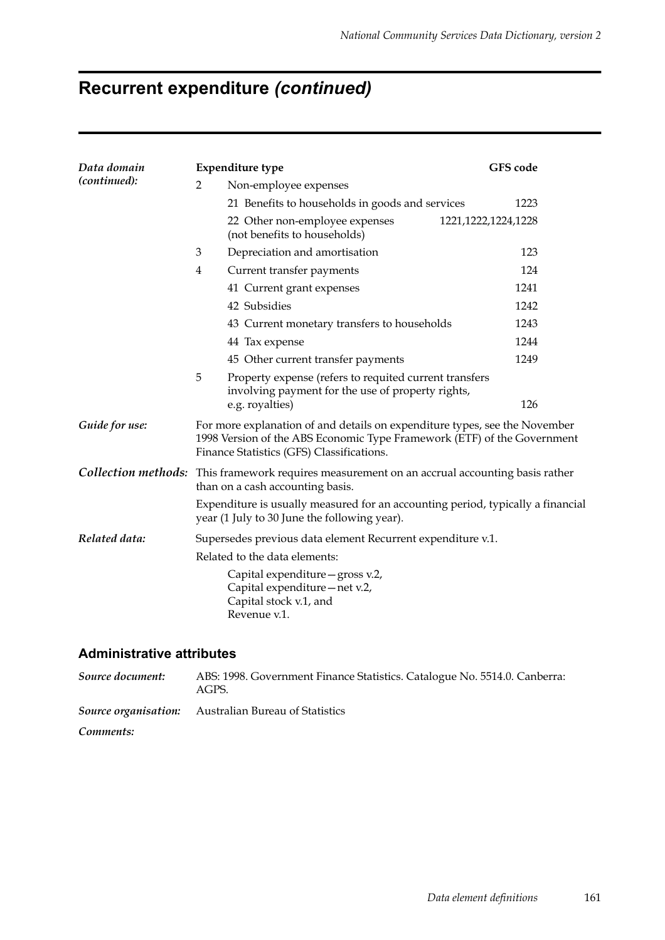# **Recurrent expenditure** *(continued)*

| Data domain<br>(continued): |                                                                                                                                   | <b>Expenditure type</b>                                                                                                                                                                            | <b>GFS</b> code        |  |  |  |  |  |
|-----------------------------|-----------------------------------------------------------------------------------------------------------------------------------|----------------------------------------------------------------------------------------------------------------------------------------------------------------------------------------------------|------------------------|--|--|--|--|--|
|                             | $\overline{2}$                                                                                                                    | Non-employee expenses                                                                                                                                                                              |                        |  |  |  |  |  |
|                             |                                                                                                                                   | 21 Benefits to households in goods and services                                                                                                                                                    | 1223                   |  |  |  |  |  |
|                             |                                                                                                                                   | 22 Other non-employee expenses<br>(not benefits to households)                                                                                                                                     | 1221, 1222, 1224, 1228 |  |  |  |  |  |
|                             | 3                                                                                                                                 | Depreciation and amortisation                                                                                                                                                                      | 123                    |  |  |  |  |  |
|                             | $\overline{4}$                                                                                                                    | Current transfer payments                                                                                                                                                                          | 124                    |  |  |  |  |  |
|                             |                                                                                                                                   | 41 Current grant expenses                                                                                                                                                                          | 1241                   |  |  |  |  |  |
|                             |                                                                                                                                   | 42 Subsidies                                                                                                                                                                                       | 1242                   |  |  |  |  |  |
|                             |                                                                                                                                   | 43 Current monetary transfers to households                                                                                                                                                        | 1243                   |  |  |  |  |  |
|                             |                                                                                                                                   | 44 Tax expense                                                                                                                                                                                     | 1244                   |  |  |  |  |  |
|                             |                                                                                                                                   | 45 Other current transfer payments                                                                                                                                                                 | 1249                   |  |  |  |  |  |
|                             | 5                                                                                                                                 | Property expense (refers to requited current transfers<br>involving payment for the use of property rights,                                                                                        |                        |  |  |  |  |  |
|                             |                                                                                                                                   | e.g. royalties)                                                                                                                                                                                    | 126                    |  |  |  |  |  |
| Guide for use:              |                                                                                                                                   | For more explanation of and details on expenditure types, see the November<br>1998 Version of the ABS Economic Type Framework (ETF) of the Government<br>Finance Statistics (GFS) Classifications. |                        |  |  |  |  |  |
|                             | Collection methods: This framework requires measurement on an accrual accounting basis rather<br>than on a cash accounting basis. |                                                                                                                                                                                                    |                        |  |  |  |  |  |
|                             |                                                                                                                                   | Expenditure is usually measured for an accounting period, typically a financial<br>year (1 July to 30 June the following year).                                                                    |                        |  |  |  |  |  |
| Related data:               |                                                                                                                                   | Supersedes previous data element Recurrent expenditure v.1.                                                                                                                                        |                        |  |  |  |  |  |
|                             | Related to the data elements:                                                                                                     |                                                                                                                                                                                                    |                        |  |  |  |  |  |
|                             |                                                                                                                                   | Capital expenditure - gross v.2,<br>Capital expenditure - net v.2,<br>Capital stock v.1, and<br>Revenue v.1.                                                                                       |                        |  |  |  |  |  |

#### **Administrative attributes**

*Source document:* ABS: 1998. Government Finance Statistics. Catalogue No. 5514.0. Canberra: AGPS. *Source organisation:* Australian Bureau of Statistics

*Comments:*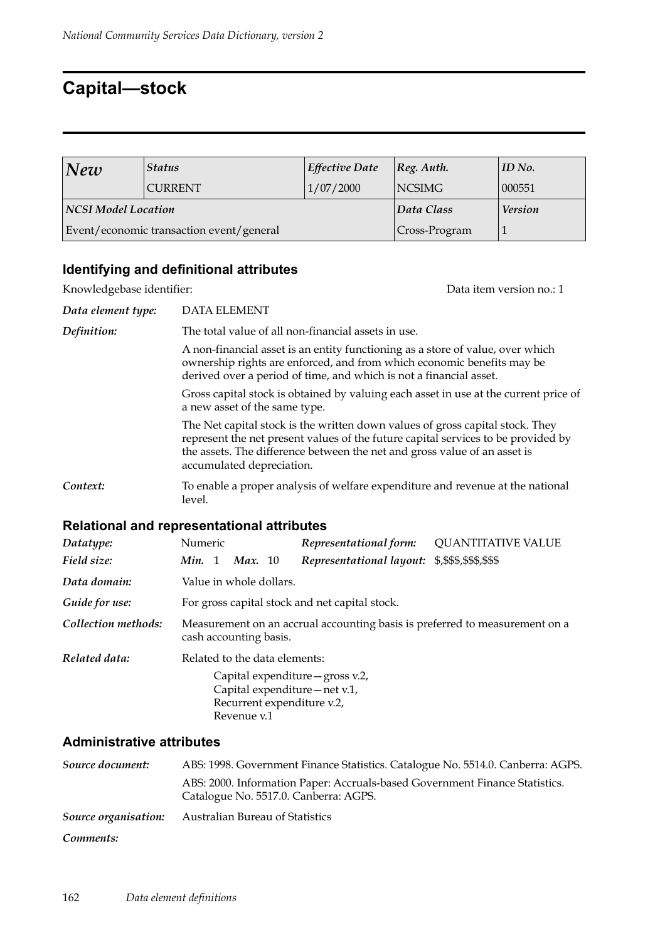## **Capital—stock**

| New                        | <i><b>Status</b></i>                     | <b>Effective Date</b> | $ Reg.$ Auth.  | $ID$ No. |
|----------------------------|------------------------------------------|-----------------------|----------------|----------|
|                            | <b>CURRENT</b>                           | 1/07/2000             | <b>NCSIMG</b>  | 000551   |
| <b>NCSI Model Location</b> |                                          | Data Class            | <b>Version</b> |          |
|                            | Event/economic transaction event/general |                       | Cross-Program  |          |

### **Identifying and definitional attributes**

Knowledgebase identifier:  $D$  at a item version no.: 1

| Data element type: | <b>DATA ELEMENT</b>                                                                                                                                                                                                                                                          |
|--------------------|------------------------------------------------------------------------------------------------------------------------------------------------------------------------------------------------------------------------------------------------------------------------------|
| Definition:        | The total value of all non-financial assets in use.                                                                                                                                                                                                                          |
|                    | A non-financial asset is an entity functioning as a store of value, over which<br>ownership rights are enforced, and from which economic benefits may be<br>derived over a period of time, and which is not a financial asset.                                               |
|                    | Gross capital stock is obtained by valuing each asset in use at the current price of<br>a new asset of the same type.                                                                                                                                                        |
|                    | The Net capital stock is the written down values of gross capital stock. They<br>represent the net present values of the future capital services to be provided by<br>the assets. The difference between the net and gross value of an asset is<br>accumulated depreciation. |
| Context:           | To enable a proper analysis of welfare expenditure and revenue at the national<br>level.                                                                                                                                                                                     |

### **Relational and representational attributes**

| Datatype:           | Numeric                                                                                               |  |                               | Representational form: | <b>QUANTITATIVE VALUE</b>                                                                        |  |  |
|---------------------|-------------------------------------------------------------------------------------------------------|--|-------------------------------|------------------------|--------------------------------------------------------------------------------------------------|--|--|
| Field size:         | Min. 1                                                                                                |  | <b>Max.</b> 10                |                        | Representational layout: \$,\$\$\$,\$\$\$,\$\$\$                                                 |  |  |
| Data domain:        |                                                                                                       |  | Value in whole dollars.       |                        |                                                                                                  |  |  |
| Guide for use:      | For gross capital stock and net capital stock.                                                        |  |                               |                        |                                                                                                  |  |  |
| Collection methods: | Measurement on an accrual accounting basis is preferred to measurement on a<br>cash accounting basis. |  |                               |                        |                                                                                                  |  |  |
| Related data:       |                                                                                                       |  | Related to the data elements: |                        |                                                                                                  |  |  |
|                     |                                                                                                       |  | Revenue v.1                   |                        | Capital expenditure - gross v.2,<br>Capital expenditure – net v.1,<br>Recurrent expenditure v.2, |  |  |

### **Administrative attributes**

| Source document: | ABS: 1998. Government Finance Statistics. Catalogue No. 5514.0. Canberra: AGPS.                                      |
|------------------|----------------------------------------------------------------------------------------------------------------------|
|                  | ABS: 2000. Information Paper: Accruals-based Government Finance Statistics.<br>Catalogue No. 5517.0. Canberra: AGPS. |
|                  | <b>Source organisation:</b> Australian Bureau of Statistics                                                          |
| Comments:        |                                                                                                                      |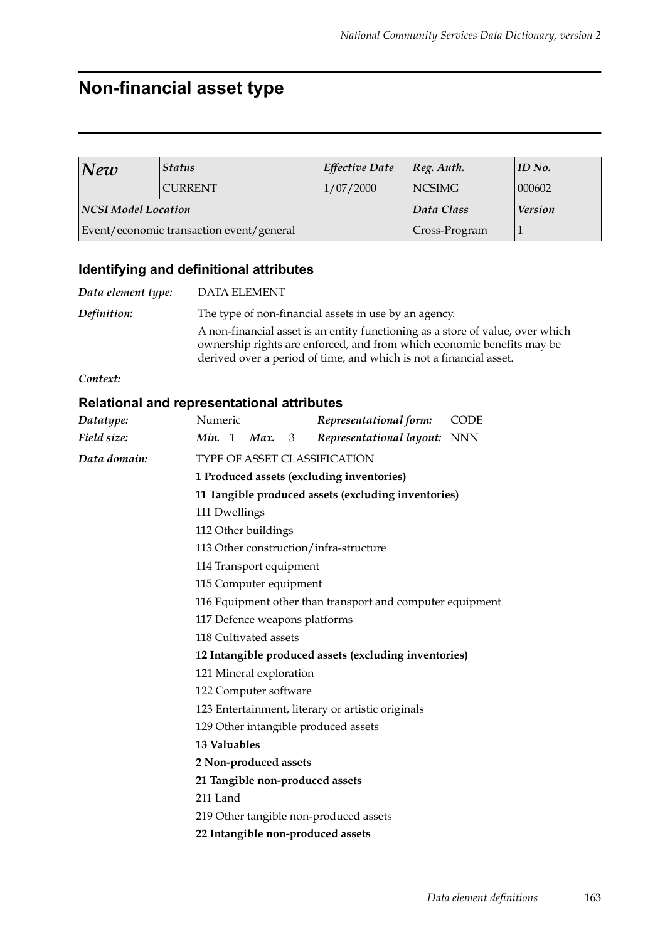# **Non-financial asset type**

| New                 | <b>Status</b>                            | <b>Effective Date</b> | $ Reg.$ Auth.  | $ID$ No. |
|---------------------|------------------------------------------|-----------------------|----------------|----------|
|                     | <b>CURRENT</b>                           | 1/07/2000             | NCSIMG         | 000602   |
| NCSI Model Location |                                          | Data Class            | <b>Version</b> |          |
|                     | Event/economic transaction event/general |                       | Cross-Program  |          |

### **Identifying and definitional attributes**

| Data element type: | <b>DATA ELEMENT</b>                                                                                                                                                                                                            |
|--------------------|--------------------------------------------------------------------------------------------------------------------------------------------------------------------------------------------------------------------------------|
| Definition:        | The type of non-financial assets in use by an agency.                                                                                                                                                                          |
|                    | A non-financial asset is an entity functioning as a store of value, over which<br>ownership rights are enforced, and from which economic benefits may be<br>derived over a period of time, and which is not a financial asset. |

*Context:*

### **Relational and representational attributes**

| Datatype:    | Representational form:<br>Numeric<br><b>CODE</b>            |  |  |  |  |
|--------------|-------------------------------------------------------------|--|--|--|--|
| Field size:  | <b>Min.</b> 1 <b>Max.</b> 3<br>Representational layout: NNN |  |  |  |  |
| Data domain: | TYPE OF ASSET CLASSIFICATION                                |  |  |  |  |
|              | 1 Produced assets (excluding inventories)                   |  |  |  |  |
|              | 11 Tangible produced assets (excluding inventories)         |  |  |  |  |
|              | 111 Dwellings                                               |  |  |  |  |
|              | 112 Other buildings                                         |  |  |  |  |
|              | 113 Other construction/infra-structure                      |  |  |  |  |
|              | 114 Transport equipment                                     |  |  |  |  |
|              | 115 Computer equipment                                      |  |  |  |  |
|              | 116 Equipment other than transport and computer equipment   |  |  |  |  |
|              | 117 Defence weapons platforms                               |  |  |  |  |
|              | 118 Cultivated assets                                       |  |  |  |  |
|              | 12 Intangible produced assets (excluding inventories)       |  |  |  |  |
|              | 121 Mineral exploration                                     |  |  |  |  |
|              | 122 Computer software                                       |  |  |  |  |
|              | 123 Entertainment, literary or artistic originals           |  |  |  |  |
|              | 129 Other intangible produced assets                        |  |  |  |  |
|              | 13 Valuables                                                |  |  |  |  |
|              | 2 Non-produced assets                                       |  |  |  |  |
|              | 21 Tangible non-produced assets                             |  |  |  |  |
|              | 211 Land                                                    |  |  |  |  |
|              | 219 Other tangible non-produced assets                      |  |  |  |  |
|              | 22 Intangible non-produced assets                           |  |  |  |  |
|              |                                                             |  |  |  |  |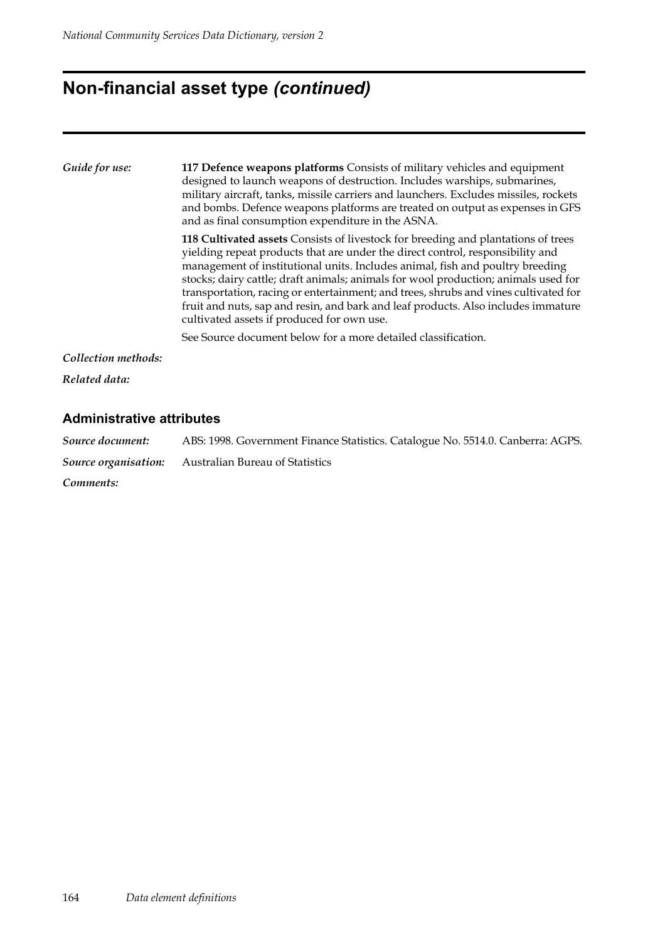## **Non-financial asset type** *(continued)*

| Guide for use:      | 117 Defence weapons platforms Consists of military vehicles and equipment<br>designed to launch weapons of destruction. Includes warships, submarines,<br>military aircraft, tanks, missile carriers and launchers. Excludes missiles, rockets<br>and bombs. Defence weapons platforms are treated on output as expenses in GFS<br>and as final consumption expenditure in the ASNA.                                                                                                                                                                                 |  |  |
|---------------------|----------------------------------------------------------------------------------------------------------------------------------------------------------------------------------------------------------------------------------------------------------------------------------------------------------------------------------------------------------------------------------------------------------------------------------------------------------------------------------------------------------------------------------------------------------------------|--|--|
|                     | 118 Cultivated assets Consists of livestock for breeding and plantations of trees<br>yielding repeat products that are under the direct control, responsibility and<br>management of institutional units. Includes animal, fish and poultry breeding<br>stocks; dairy cattle; draft animals; animals for wool production; animals used for<br>transportation, racing or entertainment; and trees, shrubs and vines cultivated for<br>fruit and nuts, sap and resin, and bark and leaf products. Also includes immature<br>cultivated assets if produced for own use. |  |  |
|                     | See Source document below for a more detailed classification.                                                                                                                                                                                                                                                                                                                                                                                                                                                                                                        |  |  |
| Collection methods: |                                                                                                                                                                                                                                                                                                                                                                                                                                                                                                                                                                      |  |  |
| Related data:       |                                                                                                                                                                                                                                                                                                                                                                                                                                                                                                                                                                      |  |  |

### **Administrative attributes**

*Source document:* ABS: 1998. Government Finance Statistics. Catalogue No. 5514.0. Canberra: AGPS. *Source organisation:* Australian Bureau of Statistics *Comments:*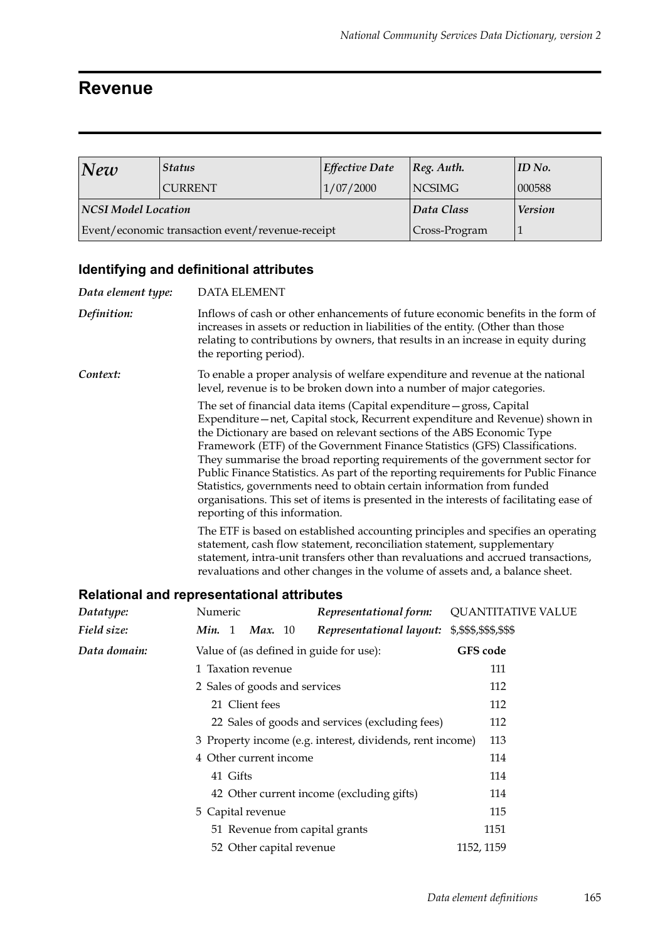### **Revenue**

| New                                              | <b>Status</b>  | <b>Effective Date</b> | $ Reg.$ Auth. | $ID$ No.       |
|--------------------------------------------------|----------------|-----------------------|---------------|----------------|
|                                                  | <b>CURRENT</b> | 1/07/2000             | <b>NCSIMG</b> | 000588         |
| NCSI Model Location                              |                |                       | Data Class    | <b>Version</b> |
| Event/economic transaction event/revenue-receipt |                |                       | Cross-Program |                |

### **Identifying and definitional attributes**

| Data element type:                                | <b>DATA ELEMENT</b>                                                                                                                                                                                                                                                                                                                                                                                                                                                                                                                                                                                                                                                                        |                                                                        |                                                                                |
|---------------------------------------------------|--------------------------------------------------------------------------------------------------------------------------------------------------------------------------------------------------------------------------------------------------------------------------------------------------------------------------------------------------------------------------------------------------------------------------------------------------------------------------------------------------------------------------------------------------------------------------------------------------------------------------------------------------------------------------------------------|------------------------------------------------------------------------|--------------------------------------------------------------------------------|
| Definition:                                       | Inflows of cash or other enhancements of future economic benefits in the form of<br>increases in assets or reduction in liabilities of the entity. (Other than those<br>relating to contributions by owners, that results in an increase in equity during<br>the reporting period).                                                                                                                                                                                                                                                                                                                                                                                                        |                                                                        |                                                                                |
| Context:                                          |                                                                                                                                                                                                                                                                                                                                                                                                                                                                                                                                                                                                                                                                                            | level, revenue is to be broken down into a number of major categories. | To enable a proper analysis of welfare expenditure and revenue at the national |
|                                                   | The set of financial data items (Capital expenditure - gross, Capital<br>Expenditure-net, Capital stock, Recurrent expenditure and Revenue) shown in<br>the Dictionary are based on relevant sections of the ABS Economic Type<br>Framework (ETF) of the Government Finance Statistics (GFS) Classifications.<br>They summarise the broad reporting requirements of the government sector for<br>Public Finance Statistics. As part of the reporting requirements for Public Finance<br>Statistics, governments need to obtain certain information from funded<br>organisations. This set of items is presented in the interests of facilitating ease of<br>reporting of this information. |                                                                        |                                                                                |
|                                                   | The ETF is based on established accounting principles and specifies an operating<br>statement, cash flow statement, reconciliation statement, supplementary<br>statement, intra-unit transfers other than revaluations and accrued transactions,<br>revaluations and other changes in the volume of assets and, a balance sheet.                                                                                                                                                                                                                                                                                                                                                           |                                                                        |                                                                                |
| <b>Relational and representational attributes</b> |                                                                                                                                                                                                                                                                                                                                                                                                                                                                                                                                                                                                                                                                                            |                                                                        |                                                                                |
| Datatype:                                         | Numeric                                                                                                                                                                                                                                                                                                                                                                                                                                                                                                                                                                                                                                                                                    | Representational form:                                                 | <b>QUANTITATIVE VALUE</b>                                                      |
| Field size:                                       | <i>Min.</i> 1 <i>Max.</i> 10                                                                                                                                                                                                                                                                                                                                                                                                                                                                                                                                                                                                                                                               | Representational layout:                                               | \$,\$\$\$,\$\$\$,\$\$\$                                                        |

| Field size:  | <i>Min.</i> 1 <i>Max.</i> 10                                     |                          |  | Representational layout: \$,\$\$\$,\$\$\$,\$\$\$ |            |
|--------------|------------------------------------------------------------------|--------------------------|--|--------------------------------------------------|------------|
| Data domain: | Value of (as defined in guide for use):                          |                          |  | <b>GFS</b> code                                  |            |
|              | 1 Taxation revenue                                               |                          |  | 111                                              |            |
|              | 2 Sales of goods and services                                    |                          |  | 112                                              |            |
|              |                                                                  | 21 Client fees           |  |                                                  | 112        |
|              | 22 Sales of goods and services (excluding fees)                  |                          |  |                                                  | 112        |
|              | 3 Property income (e.g. interest, dividends, rent income)<br>113 |                          |  |                                                  |            |
|              | 4 Other current income                                           |                          |  |                                                  | 114        |
|              | 41 Gifts                                                         |                          |  |                                                  | 114        |
|              |                                                                  |                          |  | 42 Other current income (excluding gifts)        | 114        |
|              | 5 Capital revenue                                                |                          |  |                                                  | 115        |
|              |                                                                  |                          |  | 51 Revenue from capital grants                   | 1151       |
|              |                                                                  | 52 Other capital revenue |  |                                                  | 1152, 1159 |
|              |                                                                  |                          |  |                                                  |            |